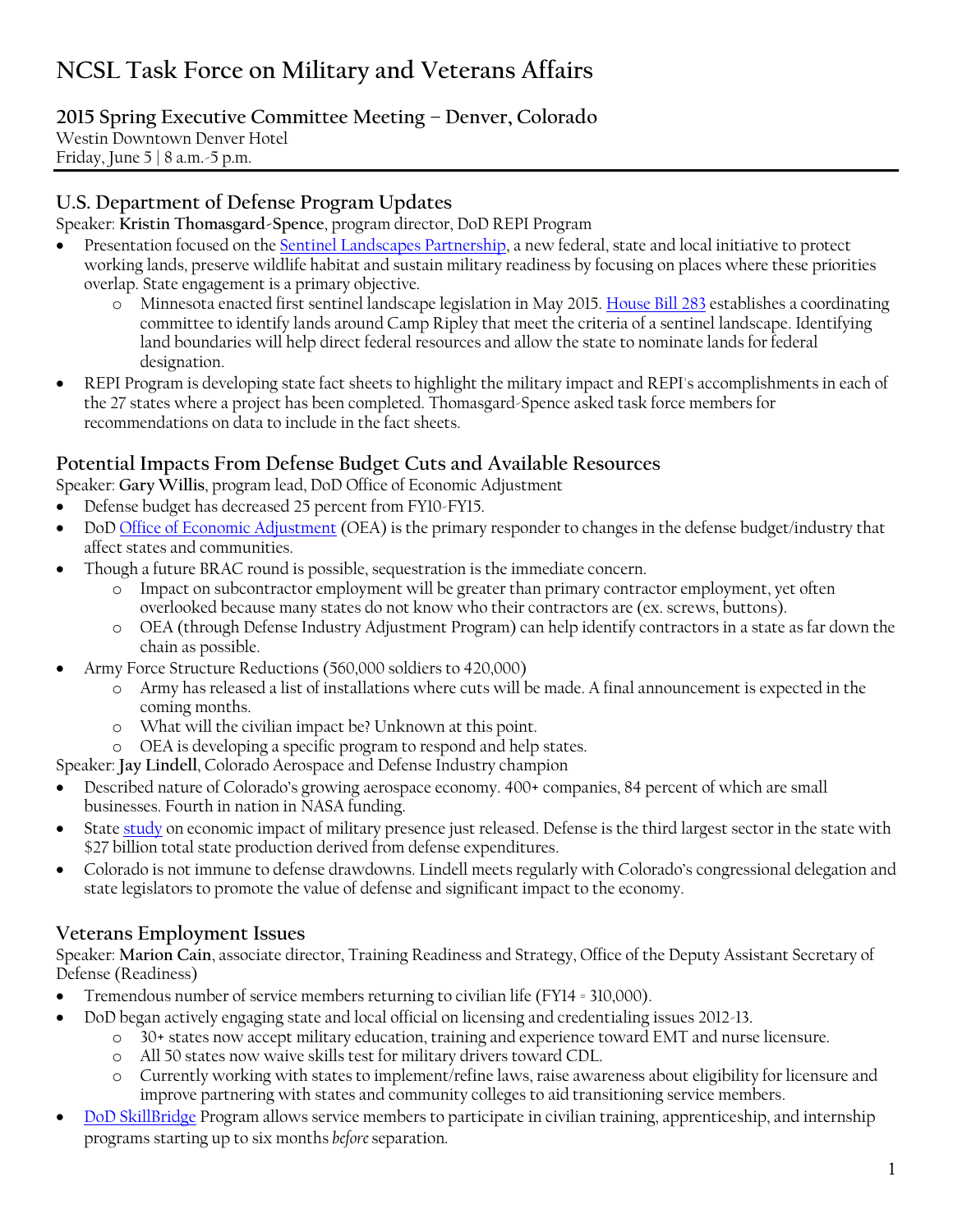# **NCSL Task Force on Military and Veterans Affairs**

## **2015 Spring Executive Committee Meeting – Denver, Colorado**

Westin Downtown Denver Hotel Friday, June 5 | 8 a.m.-5 p.m.

### **U.S. Department of Defense Program Updates**

Speaker: **Kristin Thomasgard-Spence**, program director, DoD REPI Program

- Presentation focused on the [Sentinel Landscapes Partnership,](http://sentinellandscapes.org/) a new federal, state and local initiative to protect working lands, preserve wildlife habitat and sustain military readiness by focusing on places where these priorities overlap. State engagement is a primary objective.
	- o Minnesota enacted first sentinel landscape legislation in May 2015[. House Bill 283](https://www.revisor.mn.gov/bills/text.php?session=ls89&number=HF283&session_number=0&session_year=2015&version=list) establishes a coordinating committee to identify lands around Camp Ripley that meet the criteria of a sentinel landscape. Identifying land boundaries will help direct federal resources and allow the state to nominate lands for federal designation.
- REPI Program is developing state fact sheets to highlight the military impact and REPI's accomplishments in each of the 27 states where a project has been completed. Thomasgard-Spence asked task force members for recommendations on data to include in the fact sheets.

### **Potential Impacts From Defense Budget Cuts and Available Resources**

Speaker: **Gary Willis**, program lead, DoD Office of Economic Adjustment

- Defense budget has decreased 25 percent from FY10-FY15.
- DoD [Office of Economic Adjustment](http://www.oea.gov/) (OEA) is the primary responder to changes in the defense budget/industry that affect states and communities.
- Though a future BRAC round is possible, sequestration is the immediate concern.
	- Impact on subcontractor employment will be greater than primary contractor employment, yet often overlooked because many states do not know who their contractors are (ex. screws, buttons).
	- o OEA (through Defense Industry Adjustment Program) can help identify contractors in a state as far down the chain as possible.
- Army Force Structure Reductions (560,000 soldiers to 420,000)
	- o Army has released a list of installations where cuts will be made. A final announcement is expected in the coming months.
	- o What will the civilian impact be? Unknown at this point.
	- o OEA is developing a specific program to respond and help states.

Speaker: **Jay Lindell**, Colorado Aerospace and Defense Industry champion

- Described nature of Colorado's growing aerospace economy. 400+ companies, 84 percent of which are small businesses. Fourth in nation in NASA funding.
- State [study](http://extras.mnginteractive.com/live/media/site36/2015/0527/20150527_044159_CO-Mil-Value-Study-Abridged-Report-FINAL-2015.pdf) on economic impact of military presence just released. Defense is the third largest sector in the state with \$27 billion total state production derived from defense expenditures.
- Colorado is not immune to defense drawdowns. Lindell meets regularly with Colorado's congressional delegation and state legislators to promote the value of defense and significant impact to the economy.

# **Veterans Employment Issues**

Speaker: **Marion Cain**, associate director, Training Readiness and Strategy, Office of the Deputy Assistant Secretary of Defense (Readiness)

- Tremendous number of service members returning to civilian life (FY14 = 310,000).
	- DoD began actively engaging state and local official on licensing and credentialing issues 2012-13.
		- o 30+ states now accept military education, training and experience toward EMT and nurse licensure.
		- o All 50 states now waive skills test for military drivers toward CDL.
		- o Currently working with states to implement/refine laws, raise awareness about eligibility for licensure and improve partnering with states and community colleges to aid transitioning service members.
- [DoD SkillBridge](http://www.dodskillbridge.com/) Program allows service members to participate in civilian training, apprenticeship, and internship programs starting up to six months *before* separation.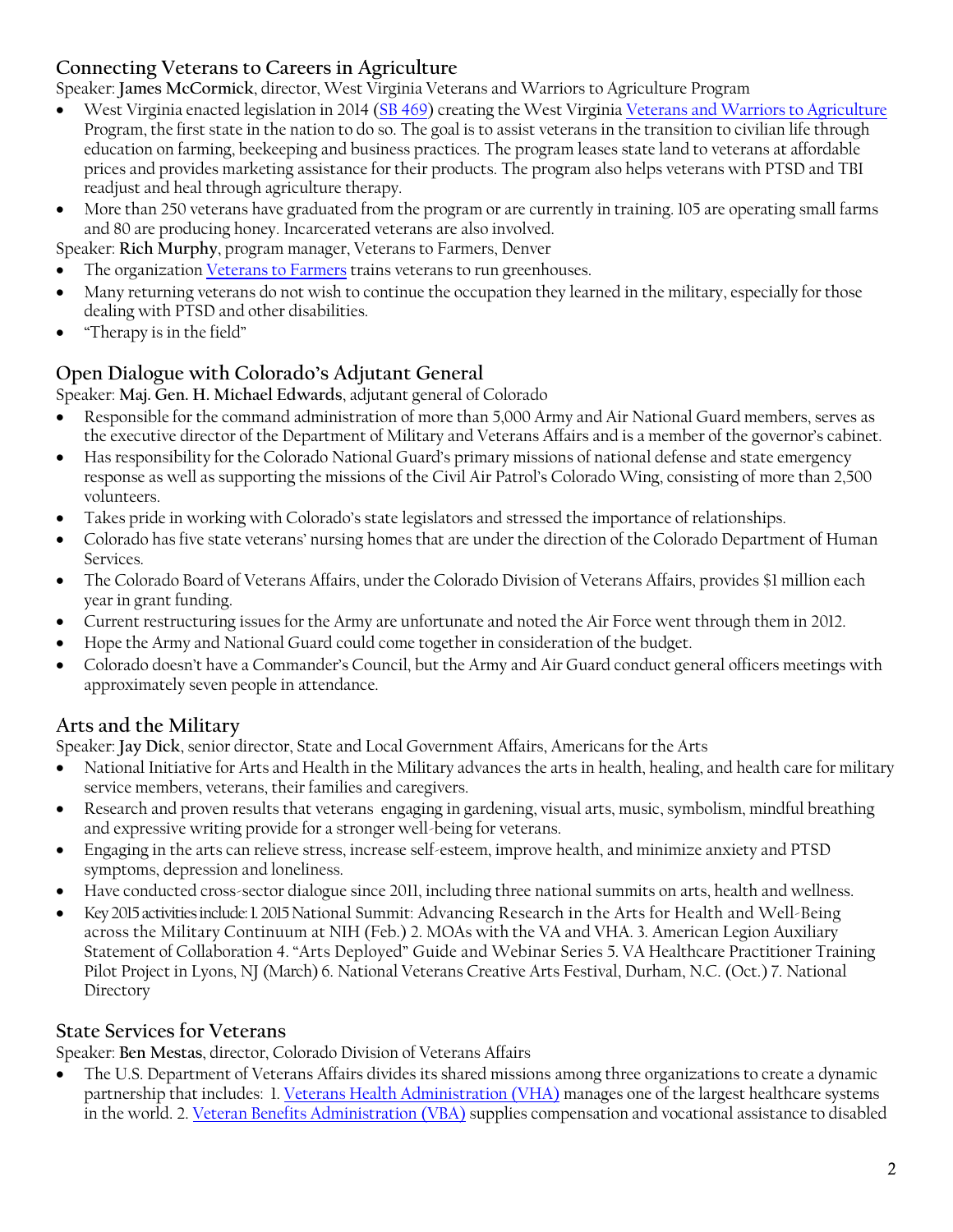# **Connecting Veterans to Careers in Agriculture**

Speaker: **James McCormick**, director, West Virginia Veterans and Warriors to Agriculture Program

- West Virginia enacted legislation in 2014 [\(SB 469\)](http://www.legis.state.wv.us/Bill_Status/bills_text.cfm?billdoc=sb469+intr.htm&yr=2014&sesstype=RS&i=469) creating the West Virginia [Veterans and Warriors to Agriculture](http://wvpublic.org/post/program-turning-warriors-farmers-across-wva) Program, the first state in the nation to do so. The goal is to assist veterans in the transition to civilian life through education on farming, beekeeping and business practices. The program leases state land to veterans at affordable prices and provides marketing assistance for their products. The program also helps veterans with PTSD and TBI readjust and heal through agriculture therapy.
- More than 250 veterans have graduated from the program or are currently in training. 105 are operating small farms and 80 are producing honey. Incarcerated veterans are also involved.

Speaker: **Rich Murphy**, program manager, Veterans to Farmers, Denver

- The organizatio[n Veterans to Farmers](http://veteranstofarmers.org/) trains veterans to run greenhouses.
- Many returning veterans do not wish to continue the occupation they learned in the military, especially for those dealing with PTSD and other disabilities.
- "Therapy is in the field"

# **Open Dialogue with Colorado's Adjutant General**

Speaker: **Maj. Gen. H. Michael Edwards**, adjutant general of Colorado

- Responsible for the command administration of more than 5,000 Army and Air National Guard members, serves as the executive director of the Department of Military and Veterans Affairs and is a member of the governor's cabinet.
- Has responsibility for the Colorado National Guard's primary missions of national defense and state emergency response as well as supporting the missions of the Civil Air Patrol's Colorado Wing, consisting of more than 2,500 volunteers.
- Takes pride in working with Colorado's state legislators and stressed the importance of relationships.
- Colorado has five state veterans' nursing homes that are under the direction of the Colorado Department of Human Services.
- The Colorado Board of Veterans Affairs, under the Colorado Division of Veterans Affairs, provides \$1 million each year in grant funding.
- Current restructuring issues for the Army are unfortunate and noted the Air Force went through them in 2012.
- Hope the Army and National Guard could come together in consideration of the budget.
- Colorado doesn't have a Commander's Council, but the Army and Air Guard conduct general officers meetings with approximately seven people in attendance.

# **Arts and the Military**

Speaker: **Jay Dick**, senior director, State and Local Government Affairs, Americans for the Arts

- National Initiative for Arts and Health in the Military advances the arts in health, healing, and health care for military service members, veterans, their families and caregivers.
- Research and proven results that veterans engaging in gardening, visual arts, music, symbolism, mindful breathing and expressive writing provide for a stronger well-being for veterans.
- Engaging in the arts can relieve stress, increase self-esteem, improve health, and minimize anxiety and PTSD symptoms, depression and loneliness.
- Have conducted cross-sector dialogue since 2011, including three national summits on arts, health and wellness.
- Key2015activitiesinclude:1.2015National Summit: Advancing Research in the Arts for Health and Well-Being across the Military Continuum at NIH (Feb.) 2. MOAs with the VA and VHA. 3. American Legion Auxiliary Statement of Collaboration 4. "Arts Deployed" Guide and Webinar Series 5. VA Healthcare Practitioner Training Pilot Project in Lyons, NJ (March) 6. National Veterans Creative Arts Festival, Durham, N.C. (Oct.) 7. National Directory

#### **State Services for Veterans**

Speaker: **Ben Mestas**, director, Colorado Division of Veterans Affairs

 The U.S. Department of Veterans Affairs divides its shared missions among three organizations to create a dynamic partnership that includes: 1[. Veterans Health Administration \(VHA\)](http://www.va.gov/JOBS/VA_In_Depth/oneva.asp#1) manages one of the largest healthcare systems in the world. 2. [Veteran Benefits Administration \(VBA\)](http://www.va.gov/JOBS/VA_In_Depth/oneva.asp#2) supplies compensation and vocational assistance to disabled